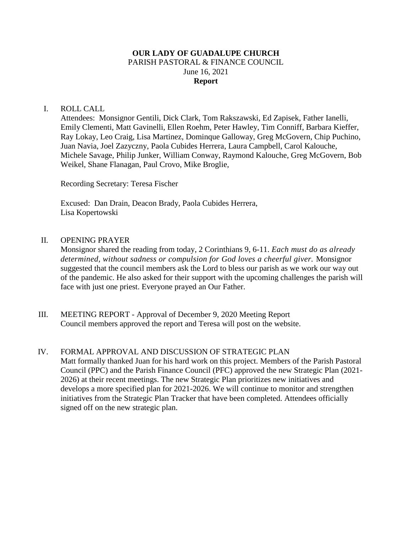# **OUR LADY OF GUADALUPE CHURCH** PARISH PASTORAL & FINANCE COUNCIL June 16, 2021 **Report**

# I. ROLL CALL

Attendees: Monsignor Gentili, Dick Clark, Tom Rakszawski, Ed Zapisek, Father Ianelli, Emily Clementi, Matt Gavinelli, Ellen Roehm, Peter Hawley, Tim Conniff, Barbara Kieffer, Ray Lokay, Leo Craig, Lisa Martinez, Dominque Galloway, Greg McGovern, Chip Puchino, Juan Navia, Joel Zazyczny, Paola Cubides Herrera, Laura Campbell, Carol Kalouche, Michele Savage, Philip Junker, William Conway, Raymond Kalouche, Greg McGovern, Bob Weikel, Shane Flanagan, Paul Crovo, Mike Broglie,

Recording Secretary: Teresa Fischer

Excused: Dan Drain, Deacon Brady, Paola Cubides Herrera, Lisa Kopertowski

# II. OPENING PRAYER

Monsignor shared the reading from today, 2 Corinthians 9, 6-11. *Each must do as already determined, without sadness or compulsion for God loves a cheerful giver.* Monsignor suggested that the council members ask the Lord to bless our parish as we work our way out of the pandemic. He also asked for their support with the upcoming challenges the parish will face with just one priest. Everyone prayed an Our Father.

III. MEETING REPORT - Approval of December 9, 2020 Meeting Report Council members approved the report and Teresa will post on the website.

# IV. FORMAL APPROVAL AND DISCUSSION OF STRATEGIC PLAN

Matt formally thanked Juan for his hard work on this project. Members of the Parish Pastoral Council (PPC) and the Parish Finance Council (PFC) approved the new Strategic Plan (2021- 2026) at their recent meetings. The new Strategic Plan prioritizes new initiatives and develops a more specified plan for 2021-2026. We will continue to monitor and strengthen initiatives from the Strategic Plan Tracker that have been completed. Attendees officially signed off on the new strategic plan.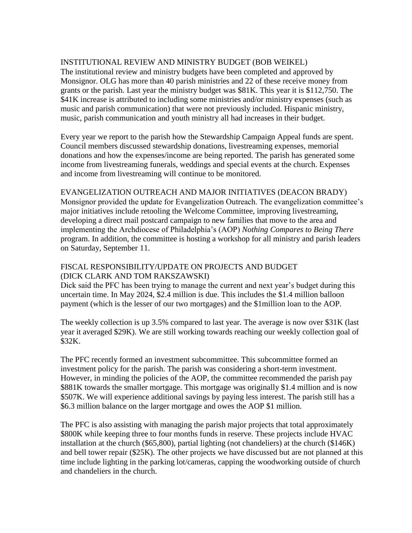# INSTITUTIONAL REVIEW AND MINISTRY BUDGET (BOB WEIKEL)

The institutional review and ministry budgets have been completed and approved by Monsignor. OLG has more than 40 parish ministries and 22 of these receive money from grants or the parish. Last year the ministry budget was \$81K. This year it is \$112,750. The \$41K increase is attributed to including some ministries and/or ministry expenses (such as music and parish communication) that were not previously included. Hispanic ministry, music, parish communication and youth ministry all had increases in their budget.

Every year we report to the parish how the Stewardship Campaign Appeal funds are spent. Council members discussed stewardship donations, livestreaming expenses, memorial donations and how the expenses/income are being reported. The parish has generated some income from livestreaming funerals, weddings and special events at the church. Expenses and income from livestreaming will continue to be monitored.

# EVANGELIZATION OUTREACH AND MAJOR INITIATIVES (DEACON BRADY)

Monsignor provided the update for Evangelization Outreach. The evangelization committee's major initiatives include retooling the Welcome Committee, improving livestreaming, developing a direct mail postcard campaign to new families that move to the area and implementing the Archdiocese of Philadelphia's (AOP) *Nothing Compares to Being There* program. In addition, the committee is hosting a workshop for all ministry and parish leaders on Saturday, September 11.

# FISCAL RESPONSIBILITY/UPDATE ON PROJECTS AND BUDGET (DICK CLARK AND TOM RAKSZAWSKI)

Dick said the PFC has been trying to manage the current and next year's budget during this uncertain time. In May 2024, \$2.4 million is due. This includes the \$1.4 million balloon payment (which is the lesser of our two mortgages) and the \$1million loan to the AOP.

The weekly collection is up 3.5% compared to last year. The average is now over \$31K (last year it averaged \$29K). We are still working towards reaching our weekly collection goal of \$32K.

The PFC recently formed an investment subcommittee. This subcommittee formed an investment policy for the parish. The parish was considering a short-term investment. However, in minding the policies of the AOP, the committee recommended the parish pay \$881K towards the smaller mortgage. This mortgage was originally \$1.4 million and is now \$507K. We will experience additional savings by paying less interest. The parish still has a \$6.3 million balance on the larger mortgage and owes the AOP \$1 million.

The PFC is also assisting with managing the parish major projects that total approximately \$800K while keeping three to four months funds in reserve. These projects include HVAC installation at the church (\$65,800), partial lighting (not chandeliers) at the church (\$146K) and bell tower repair (\$25K). The other projects we have discussed but are not planned at this time include lighting in the parking lot/cameras, capping the woodworking outside of church and chandeliers in the church.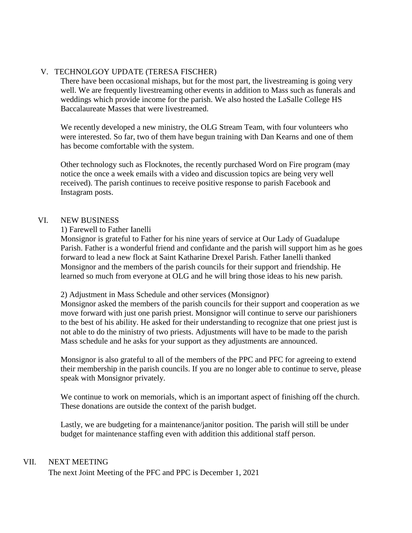# V. TECHNOLGOY UPDATE (TERESA FISCHER)

There have been occasional mishaps, but for the most part, the livestreaming is going very well. We are frequently livestreaming other events in addition to Mass such as funerals and weddings which provide income for the parish. We also hosted the LaSalle College HS Baccalaureate Masses that were livestreamed.

We recently developed a new ministry, the OLG Stream Team, with four volunteers who were interested. So far, two of them have begun training with Dan Kearns and one of them has become comfortable with the system.

Other technology such as Flocknotes, the recently purchased Word on Fire program (may notice the once a week emails with a video and discussion topics are being very well received). The parish continues to receive positive response to parish Facebook and Instagram posts.

# VI. NEW BUSINESS

# 1) Farewell to Father Ianelli

Monsignor is grateful to Father for his nine years of service at Our Lady of Guadalupe Parish. Father is a wonderful friend and confidante and the parish will support him as he goes forward to lead a new flock at Saint Katharine Drexel Parish. Father Ianelli thanked Monsignor and the members of the parish councils for their support and friendship. He learned so much from everyone at OLG and he will bring those ideas to his new parish.

# 2) Adjustment in Mass Schedule and other services (Monsignor)

Monsignor asked the members of the parish councils for their support and cooperation as we move forward with just one parish priest. Monsignor will continue to serve our parishioners to the best of his ability. He asked for their understanding to recognize that one priest just is not able to do the ministry of two priests. Adjustments will have to be made to the parish Mass schedule and he asks for your support as they adjustments are announced.

Monsignor is also grateful to all of the members of the PPC and PFC for agreeing to extend their membership in the parish councils. If you are no longer able to continue to serve, please speak with Monsignor privately.

We continue to work on memorials, which is an important aspect of finishing off the church. These donations are outside the context of the parish budget.

Lastly, we are budgeting for a maintenance/janitor position. The parish will still be under budget for maintenance staffing even with addition this additional staff person.

# VII. NEXT MEETING

The next Joint Meeting of the PFC and PPC is December 1, 2021